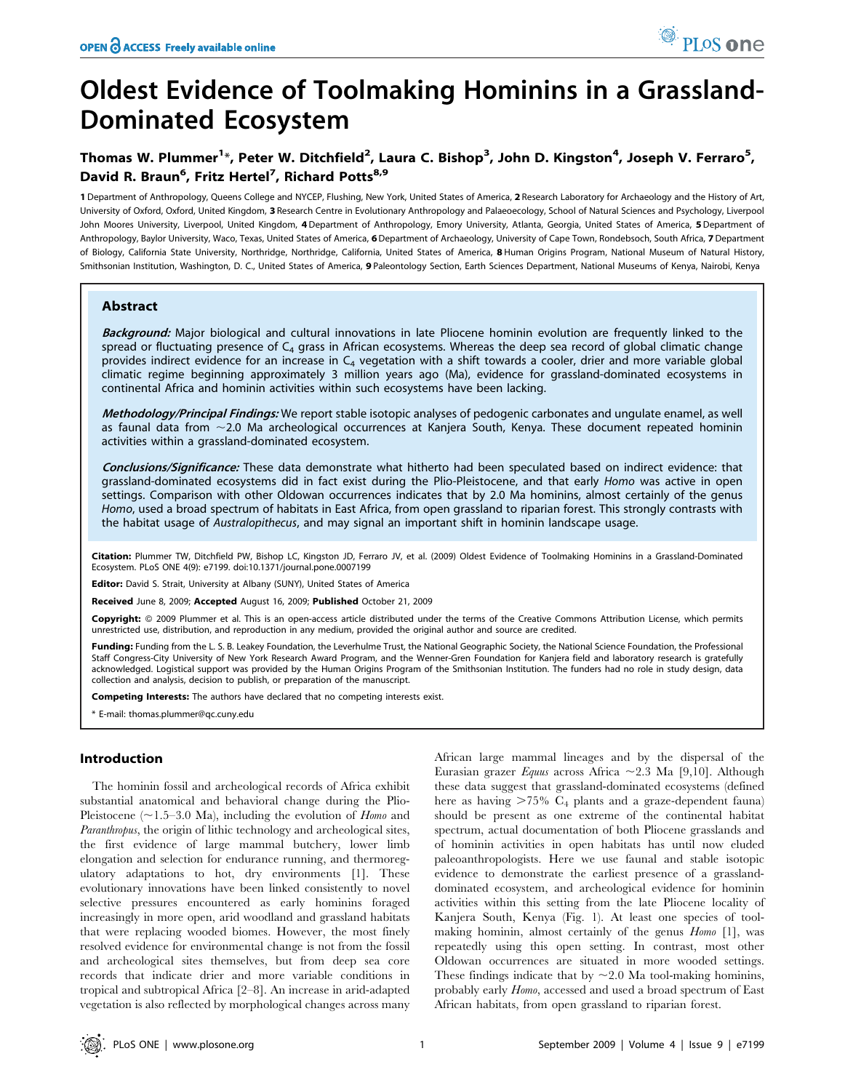# Oldest Evidence of Toolmaking Hominins in a Grassland-Dominated Ecosystem

# Thomas W. Plummer<sup>1</sup>\*, Peter W. Ditchfield<sup>2</sup>, Laura C. Bishop<sup>3</sup>, John D. Kingston<sup>4</sup>, Joseph V. Ferraro<sup>5</sup>, David R. Braun<sup>6</sup>, Fritz Hertel<sup>7</sup>, Richard Potts<sup>8,9</sup>

1 Department of Anthropology, Queens College and NYCEP, Flushing, New York, United States of America, 2 Research Laboratory for Archaeology and the History of Art, University of Oxford, Oxford, United Kingdom, 3 Research Centre in Evolutionary Anthropology and Palaeoecology, School of Natural Sciences and Psychology, Liverpool John Moores University, Liverpool, United Kingdom, 4 Department of Anthropology, Emory University, Atlanta, Georgia, United States of America, 5 Department of Anthropology, Baylor University, Waco, Texas, United States of America, 6 Department of Archaeology, University of Cape Town, Rondebsoch, South Africa, 7 Department of Biology, California State University, Northridge, Northridge, California, United States of America, 8 Human Origins Program, National Museum of Natural History, Smithsonian Institution, Washington, D. C., United States of America, 9 Paleontology Section, Earth Sciences Department, National Museums of Kenya, Nairobi, Kenya

## Abstract

Background: Major biological and cultural innovations in late Pliocene hominin evolution are frequently linked to the spread or fluctuating presence of  $C_4$  grass in African ecosystems. Whereas the deep sea record of global climatic change provides indirect evidence for an increase in  $C_4$  vegetation with a shift towards a cooler, drier and more variable global climatic regime beginning approximately 3 million years ago (Ma), evidence for grassland-dominated ecosystems in continental Africa and hominin activities within such ecosystems have been lacking.

Methodology/Principal Findings: We report stable isotopic analyses of pedogenic carbonates and ungulate enamel, as well as faunal data from  $\sim$  2.0 Ma archeological occurrences at Kanjera South, Kenya. These document repeated hominin activities within a grassland-dominated ecosystem.

Conclusions/Significance: These data demonstrate what hitherto had been speculated based on indirect evidence: that grassland-dominated ecosystems did in fact exist during the Plio-Pleistocene, and that early Homo was active in open settings. Comparison with other Oldowan occurrences indicates that by 2.0 Ma hominins, almost certainly of the genus Homo, used a broad spectrum of habitats in East Africa, from open grassland to riparian forest. This strongly contrasts with the habitat usage of Australopithecus, and may signal an important shift in hominin landscape usage.

Citation: Plummer TW, Ditchfield PW, Bishop LC, Kingston JD, Ferraro JV, et al. (2009) Oldest Evidence of Toolmaking Hominins in a Grassland-Dominated Ecosystem. PLoS ONE 4(9): e7199. doi:10.1371/journal.pone.0007199

Editor: David S. Strait, University at Albany (SUNY), United States of America

Received June 8, 2009; Accepted August 16, 2009; Published October 21, 2009

Copyright: © 2009 Plummer et al. This is an open-access article distributed under the terms of the Creative Commons Attribution License, which permits unrestricted use, distribution, and reproduction in any medium, provided the original author and source are credited.

Funding: Funding from the L. S. B. Leakey Foundation, the Leverhulme Trust, the National Geographic Society, the National Science Foundation, the Professional Staff Congress-City University of New York Research Award Program, and the Wenner-Gren Foundation for Kanjera field and laboratory research is gratefully acknowledged. Logistical support was provided by the Human Origins Program of the Smithsonian Institution. The funders had no role in study design, data collection and analysis, decision to publish, or preparation of the manuscript.

Competing Interests: The authors have declared that no competing interests exist.

\* E-mail: thomas.plummer@qc.cuny.edu

# Introduction

The hominin fossil and archeological records of Africa exhibit substantial anatomical and behavioral change during the Plio-Pleistocene ( $\sim$ 1.5–3.0 Ma), including the evolution of *Homo* and Paranthropus, the origin of lithic technology and archeological sites, the first evidence of large mammal butchery, lower limb elongation and selection for endurance running, and thermoregulatory adaptations to hot, dry environments [1]. These evolutionary innovations have been linked consistently to novel selective pressures encountered as early hominins foraged increasingly in more open, arid woodland and grassland habitats that were replacing wooded biomes. However, the most finely resolved evidence for environmental change is not from the fossil and archeological sites themselves, but from deep sea core records that indicate drier and more variable conditions in tropical and subtropical Africa [2–8]. An increase in arid-adapted vegetation is also reflected by morphological changes across many

African large mammal lineages and by the dispersal of the Eurasian grazer Equus across Africa ~2.3 Ma [9,10]. Although these data suggest that grassland-dominated ecosystems (defined here as having  $>75\%$  C<sub>4</sub> plants and a graze-dependent fauna) should be present as one extreme of the continental habitat spectrum, actual documentation of both Pliocene grasslands and of hominin activities in open habitats has until now eluded paleoanthropologists. Here we use faunal and stable isotopic evidence to demonstrate the earliest presence of a grasslanddominated ecosystem, and archeological evidence for hominin activities within this setting from the late Pliocene locality of Kanjera South, Kenya (Fig. 1). At least one species of toolmaking hominin, almost certainly of the genus Homo [1], was repeatedly using this open setting. In contrast, most other Oldowan occurrences are situated in more wooded settings. These findings indicate that by  $\sim$  2.0 Ma tool-making hominins, probably early Homo, accessed and used a broad spectrum of East African habitats, from open grassland to riparian forest.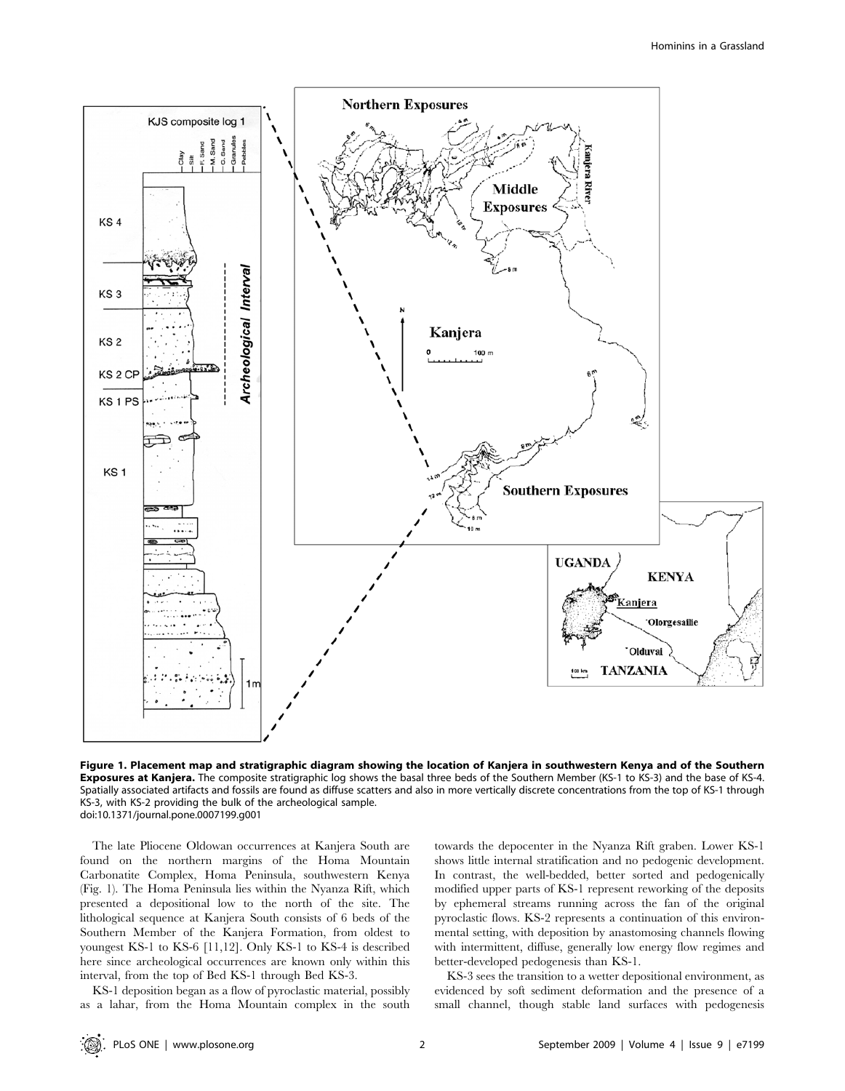

Figure 1. Placement map and stratigraphic diagram showing the location of Kanjera in southwestern Kenya and of the Southern **Exposures at Kanjera.** The composite stratigraphic log shows the basal three beds of the Southern Member (KS-1 to KS-3) and the base of KS-4. Spatially associated artifacts and fossils are found as diffuse scatters and also in more vertically discrete concentrations from the top of KS-1 through KS-3, with KS-2 providing the bulk of the archeological sample. doi:10.1371/journal.pone.0007199.g001

The late Pliocene Oldowan occurrences at Kanjera South are found on the northern margins of the Homa Mountain Carbonatite Complex, Homa Peninsula, southwestern Kenya (Fig. 1). The Homa Peninsula lies within the Nyanza Rift, which presented a depositional low to the north of the site. The lithological sequence at Kanjera South consists of 6 beds of the Southern Member of the Kanjera Formation, from oldest to youngest KS-1 to KS-6 [11,12]. Only KS-1 to KS-4 is described here since archeological occurrences are known only within this interval, from the top of Bed KS-1 through Bed KS-3.

KS-1 deposition began as a flow of pyroclastic material, possibly as a lahar, from the Homa Mountain complex in the south towards the depocenter in the Nyanza Rift graben. Lower KS-1 shows little internal stratification and no pedogenic development. In contrast, the well-bedded, better sorted and pedogenically modified upper parts of KS-1 represent reworking of the deposits by ephemeral streams running across the fan of the original pyroclastic flows. KS-2 represents a continuation of this environmental setting, with deposition by anastomosing channels flowing with intermittent, diffuse, generally low energy flow regimes and better-developed pedogenesis than KS-1.

KS-3 sees the transition to a wetter depositional environment, as evidenced by soft sediment deformation and the presence of a small channel, though stable land surfaces with pedogenesis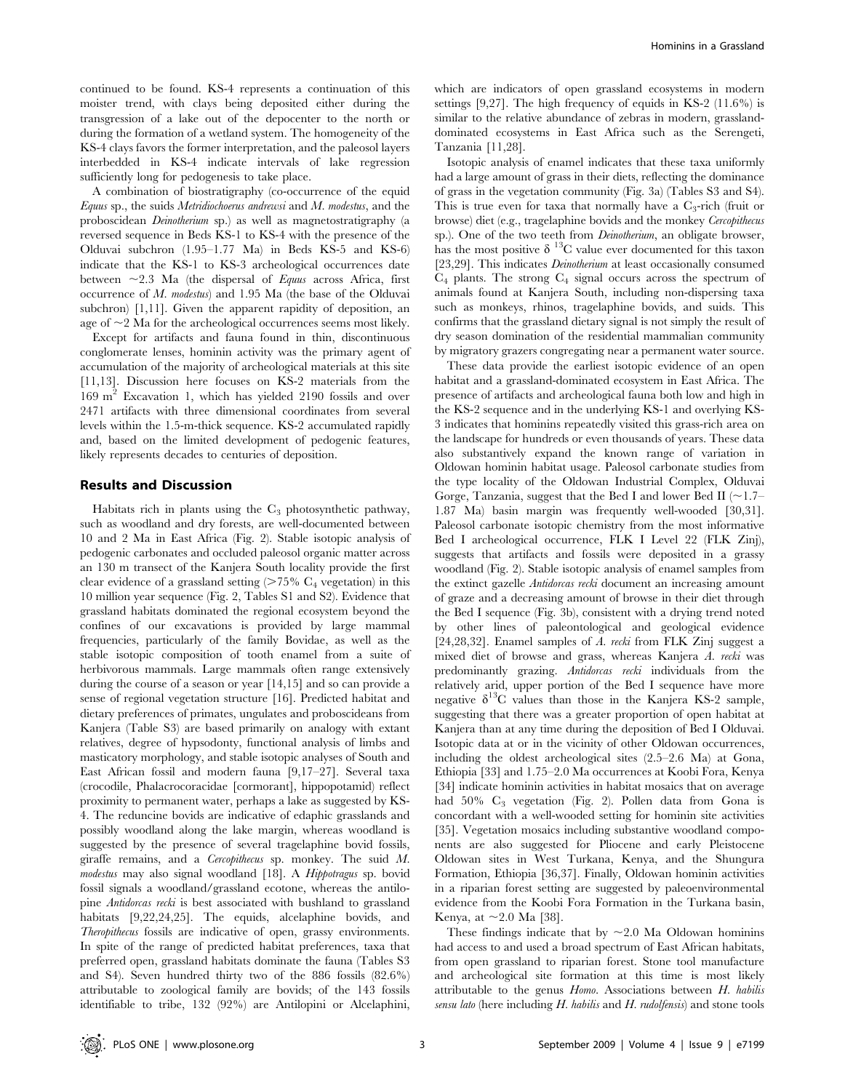continued to be found. KS-4 represents a continuation of this moister trend, with clays being deposited either during the transgression of a lake out of the depocenter to the north or during the formation of a wetland system. The homogeneity of the KS-4 clays favors the former interpretation, and the paleosol layers interbedded in KS-4 indicate intervals of lake regression sufficiently long for pedogenesis to take place.

A combination of biostratigraphy (co-occurrence of the equid Equus sp., the suids Metridiochoerus andrewsi and M. modestus, and the proboscidean Deinotherium sp.) as well as magnetostratigraphy (a reversed sequence in Beds KS-1 to KS-4 with the presence of the Olduvai subchron (1.95–1.77 Ma) in Beds KS-5 and KS-6) indicate that the KS-1 to KS-3 archeological occurrences date between  $\sim$ 2.3 Ma (the dispersal of Equus across Africa, first occurrence of M. modestus) and 1.95 Ma (the base of the Olduvai subchron) [1,11]. Given the apparent rapidity of deposition, an age of  $\sim$  2 Ma for the archeological occurrences seems most likely.

Except for artifacts and fauna found in thin, discontinuous conglomerate lenses, hominin activity was the primary agent of accumulation of the majority of archeological materials at this site [11,13]. Discussion here focuses on KS-2 materials from the 169 m<sup>2</sup> Excavation 1, which has yielded 2190 fossils and over 2471 artifacts with three dimensional coordinates from several levels within the 1.5-m-thick sequence. KS-2 accumulated rapidly and, based on the limited development of pedogenic features, likely represents decades to centuries of deposition.

#### Results and Discussion

Habitats rich in plants using the  $C_3$  photosynthetic pathway, such as woodland and dry forests, are well-documented between 10 and 2 Ma in East Africa (Fig. 2). Stable isotopic analysis of pedogenic carbonates and occluded paleosol organic matter across an 130 m transect of the Kanjera South locality provide the first clear evidence of a grassland setting  $(>75\%$  C<sub>4</sub> vegetation) in this 10 million year sequence (Fig. 2, Tables S1 and S2). Evidence that grassland habitats dominated the regional ecosystem beyond the confines of our excavations is provided by large mammal frequencies, particularly of the family Bovidae, as well as the stable isotopic composition of tooth enamel from a suite of herbivorous mammals. Large mammals often range extensively during the course of a season or year [14,15] and so can provide a sense of regional vegetation structure [16]. Predicted habitat and dietary preferences of primates, ungulates and proboscideans from Kanjera (Table S3) are based primarily on analogy with extant relatives, degree of hypsodonty, functional analysis of limbs and masticatory morphology, and stable isotopic analyses of South and East African fossil and modern fauna [9,17–27]. Several taxa (crocodile, Phalacrocoracidae [cormorant], hippopotamid) reflect proximity to permanent water, perhaps a lake as suggested by KS-4. The reduncine bovids are indicative of edaphic grasslands and possibly woodland along the lake margin, whereas woodland is suggested by the presence of several tragelaphine bovid fossils, giraffe remains, and a Cercopithecus sp. monkey. The suid M. modestus may also signal woodland [18]. A Hippotragus sp. bovid fossil signals a woodland/grassland ecotone, whereas the antilopine Antidorcas recki is best associated with bushland to grassland habitats [9,22,24,25]. The equids, alcelaphine bovids, and Theropithecus fossils are indicative of open, grassy environments. In spite of the range of predicted habitat preferences, taxa that preferred open, grassland habitats dominate the fauna (Tables S3 and S4). Seven hundred thirty two of the 886 fossils (82.6%) attributable to zoological family are bovids; of the 143 fossils identifiable to tribe, 132 (92%) are Antilopini or Alcelaphini,

which are indicators of open grassland ecosystems in modern settings [9,27]. The high frequency of equids in KS-2 (11.6%) is similar to the relative abundance of zebras in modern, grasslanddominated ecosystems in East Africa such as the Serengeti, Tanzania [11,28].

Isotopic analysis of enamel indicates that these taxa uniformly had a large amount of grass in their diets, reflecting the dominance of grass in the vegetation community (Fig. 3a) (Tables S3 and S4). This is true even for taxa that normally have a  $C_3$ -rich (fruit or browse) diet (e.g., tragelaphine bovids and the monkey Cercopithecus sp.). One of the two teeth from *Deinotherium*, an obligate browser, has the most positive  $\delta$  <sup>13</sup>C value ever documented for this taxon [23,29]. This indicates *Deinotherium* at least occasionally consumed  $C_4$  plants. The strong  $C_4$  signal occurs across the spectrum of animals found at Kanjera South, including non-dispersing taxa such as monkeys, rhinos, tragelaphine bovids, and suids. This confirms that the grassland dietary signal is not simply the result of dry season domination of the residential mammalian community by migratory grazers congregating near a permanent water source.

These data provide the earliest isotopic evidence of an open habitat and a grassland-dominated ecosystem in East Africa. The presence of artifacts and archeological fauna both low and high in the KS-2 sequence and in the underlying KS-1 and overlying KS-3 indicates that hominins repeatedly visited this grass-rich area on the landscape for hundreds or even thousands of years. These data also substantively expand the known range of variation in Oldowan hominin habitat usage. Paleosol carbonate studies from the type locality of the Oldowan Industrial Complex, Olduvai Gorge, Tanzania, suggest that the Bed I and lower Bed II ( $\sim$ 1.7– 1.87 Ma) basin margin was frequently well-wooded [30,31]. Paleosol carbonate isotopic chemistry from the most informative Bed I archeological occurrence, FLK I Level 22 (FLK Zinj), suggests that artifacts and fossils were deposited in a grassy woodland (Fig. 2). Stable isotopic analysis of enamel samples from the extinct gazelle Antidorcas recki document an increasing amount of graze and a decreasing amount of browse in their diet through the Bed I sequence (Fig. 3b), consistent with a drying trend noted by other lines of paleontological and geological evidence [24,28,32]. Enamel samples of A. recki from FLK Zinj suggest a mixed diet of browse and grass, whereas Kanjera A. recki was predominantly grazing. Antidorcas recki individuals from the relatively arid, upper portion of the Bed I sequence have more negative  $\delta^{13}$ C values than those in the Kanjera KS-2 sample, suggesting that there was a greater proportion of open habitat at Kanjera than at any time during the deposition of Bed I Olduvai. Isotopic data at or in the vicinity of other Oldowan occurrences, including the oldest archeological sites (2.5–2.6 Ma) at Gona, Ethiopia [33] and 1.75–2.0 Ma occurrences at Koobi Fora, Kenya [34] indicate hominin activities in habitat mosaics that on average had 50%  $C_3$  vegetation (Fig. 2). Pollen data from Gona is concordant with a well-wooded setting for hominin site activities [35]. Vegetation mosaics including substantive woodland components are also suggested for Pliocene and early Pleistocene Oldowan sites in West Turkana, Kenya, and the Shungura Formation, Ethiopia [36,37]. Finally, Oldowan hominin activities in a riparian forest setting are suggested by paleoenvironmental evidence from the Koobi Fora Formation in the Turkana basin, Kenya, at  $\sim$  2.0 Ma [38].

These findings indicate that by  $\sim$  2.0 Ma Oldowan hominins had access to and used a broad spectrum of East African habitats, from open grassland to riparian forest. Stone tool manufacture and archeological site formation at this time is most likely attributable to the genus Homo. Associations between H. habilis sensu lato (here including  $H$ . habilis and  $H$ . rudolfensis) and stone tools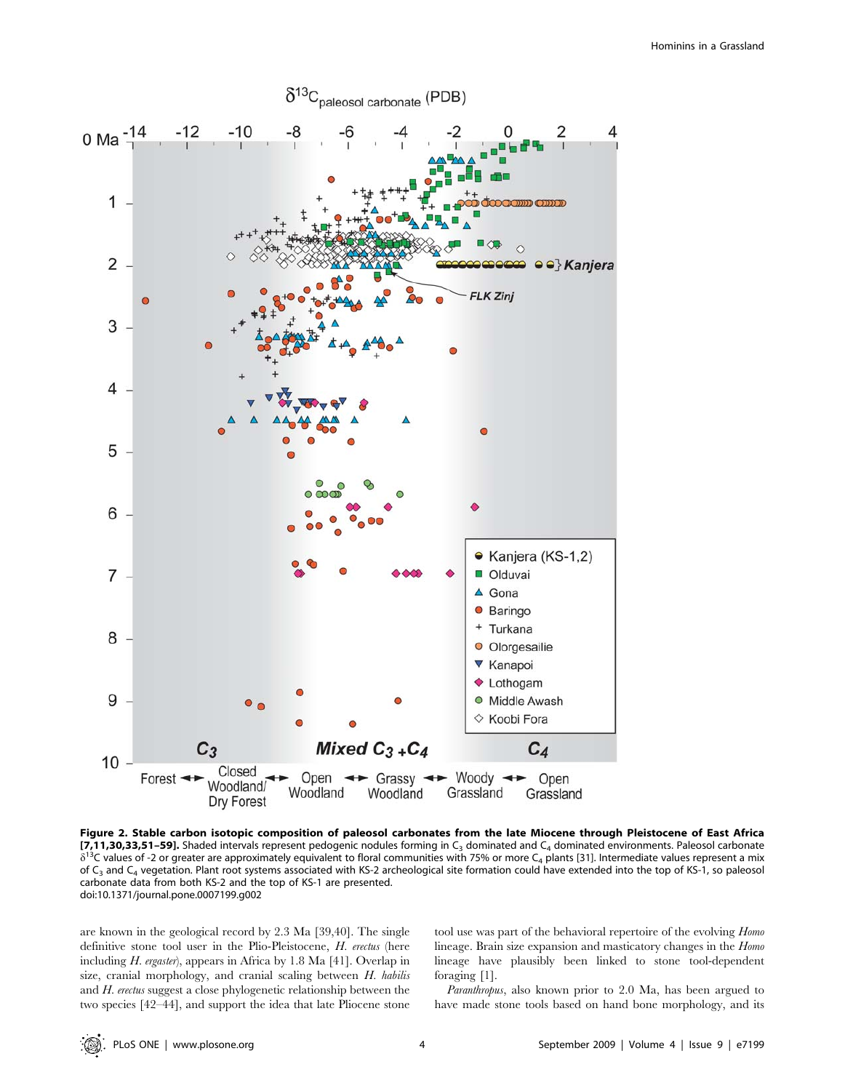

Figure 2. Stable carbon isotopic composition of paleosol carbonates from the late Miocene through Pleistocene of East Africa [7,11,30,33,51–59]. Shaded intervals represent pedogenic nodules forming in  $C_3$  dominated and  $C_4$  dominated environments. Paleosol carbonate  $\delta^{13}$ C values of -2 or greater are approximately equivalent to floral communities with 75% or more C<sub>4</sub> plants [31]. Intermediate values represent a mix of  $C_3$  and  $C_4$  vegetation. Plant root systems associated with KS-2 archeological site formation could have extended into the top of KS-1, so paleosol carbonate data from both KS-2 and the top of KS-1 are presented. doi:10.1371/journal.pone.0007199.g002

are known in the geological record by 2.3 Ma [39,40]. The single definitive stone tool user in the Plio-Pleistocene, H. erectus (here including H. ergaster), appears in Africa by 1.8 Ma [41]. Overlap in size, cranial morphology, and cranial scaling between H. habilis and H. erectus suggest a close phylogenetic relationship between the two species [42–44], and support the idea that late Pliocene stone tool use was part of the behavioral repertoire of the evolving Homo lineage. Brain size expansion and masticatory changes in the Homo lineage have plausibly been linked to stone tool-dependent foraging [1].

Paranthropus, also known prior to 2.0 Ma, has been argued to have made stone tools based on hand bone morphology, and its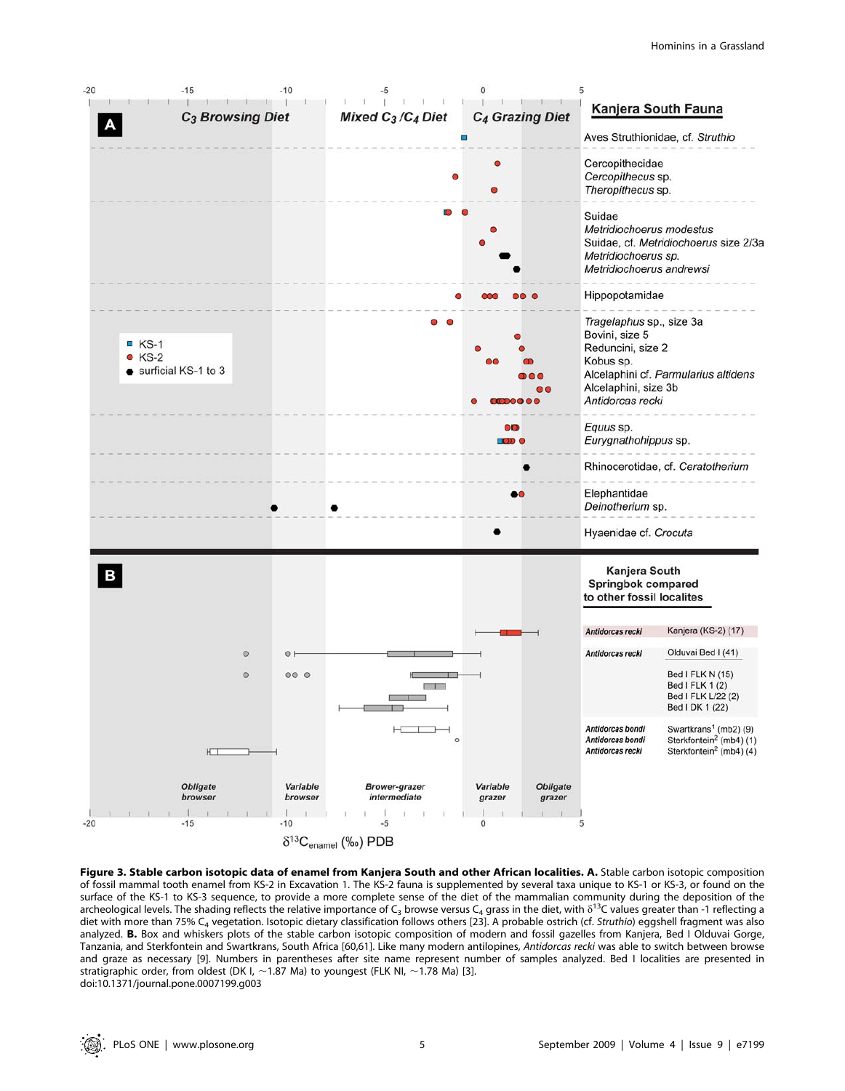

 $\delta^{13}C_{\text{enamel}}$  (‰) PDB

Figure 3. Stable carbon isotopic data of enamel from Kanjera South and other African localities. A. Stable carbon isotopic composition of fossil mammal tooth enamel from KS-2 in Excavation 1. The KS-2 fauna is supplemented by several taxa unique to KS-1 or KS-3, or found on the surface of the KS-1 to KS-3 sequence, to provide a more complete sense of the diet of the mammalian community during the deposition of the archeological levels. The shading reflects the relative importance of C<sub>3</sub> browse versus C<sub>4</sub> grass in the diet, with  $\delta^{13}$ C values greater than -1 reflecting a diet with more than 75% C<sub>4</sub> vegetation. Isotopic dietary classification follows others [23]. A probable ostrich (cf. Struthio) eggshell fragment was also analyzed. B. Box and whiskers plots of the stable carbon isotopic composition of modern and fossil gazelles from Kanjera, Bed I Olduvai Gorge, Tanzania, and Sterkfontein and Swartkrans, South Africa [60,61]. Like many modern antilopines, Antidorcas recki was able to switch between browse and graze as necessary [9]. Numbers in parentheses after site name represent number of samples analyzed. Bed I localities are presented in stratigraphic order, from oldest (DK I,  $\sim$  1.87 Ma) to youngest (FLK NI,  $\sim$  1.78 Ma) [3]. doi:10.1371/journal.pone.0007199.g003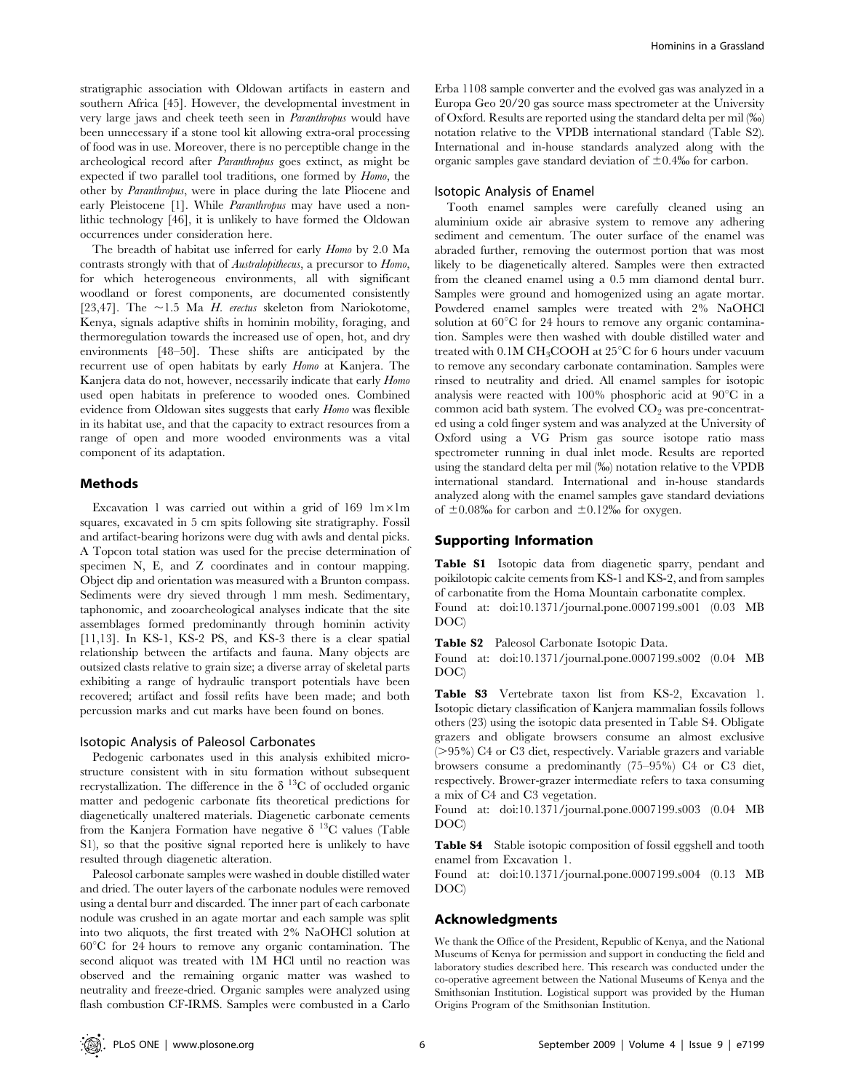stratigraphic association with Oldowan artifacts in eastern and southern Africa [45]. However, the developmental investment in very large jaws and cheek teeth seen in Paranthropus would have been unnecessary if a stone tool kit allowing extra-oral processing of food was in use. Moreover, there is no perceptible change in the archeological record after Paranthropus goes extinct, as might be expected if two parallel tool traditions, one formed by Homo, the other by Paranthropus, were in place during the late Pliocene and early Pleistocene [1]. While *Paranthropus* may have used a nonlithic technology [46], it is unlikely to have formed the Oldowan occurrences under consideration here.

The breadth of habitat use inferred for early Homo by 2.0 Ma contrasts strongly with that of Australopithecus, a precursor to Homo, for which heterogeneous environments, all with significant woodland or forest components, are documented consistently [23,47]. The  $\sim$ 1.5 Ma H. erectus skeleton from Nariokotome, Kenya, signals adaptive shifts in hominin mobility, foraging, and thermoregulation towards the increased use of open, hot, and dry environments [48–50]. These shifts are anticipated by the recurrent use of open habitats by early Homo at Kanjera. The Kanjera data do not, however, necessarily indicate that early Homo used open habitats in preference to wooded ones. Combined evidence from Oldowan sites suggests that early Homo was flexible in its habitat use, and that the capacity to extract resources from a range of open and more wooded environments was a vital component of its adaptation.

## Methods

Excavation 1 was carried out within a grid of 169  $1m \times 1m$ squares, excavated in 5 cm spits following site stratigraphy. Fossil and artifact-bearing horizons were dug with awls and dental picks. A Topcon total station was used for the precise determination of specimen N, E, and Z coordinates and in contour mapping. Object dip and orientation was measured with a Brunton compass. Sediments were dry sieved through 1 mm mesh. Sedimentary, taphonomic, and zooarcheological analyses indicate that the site assemblages formed predominantly through hominin activity [11,13]. In KS-1, KS-2 PS, and KS-3 there is a clear spatial relationship between the artifacts and fauna. Many objects are outsized clasts relative to grain size; a diverse array of skeletal parts exhibiting a range of hydraulic transport potentials have been recovered; artifact and fossil refits have been made; and both percussion marks and cut marks have been found on bones.

#### Isotopic Analysis of Paleosol Carbonates

Pedogenic carbonates used in this analysis exhibited microstructure consistent with in situ formation without subsequent recrystallization. The difference in the  $\delta^{13}$ C of occluded organic matter and pedogenic carbonate fits theoretical predictions for diagenetically unaltered materials. Diagenetic carbonate cements from the Kanjera Formation have negative  $\delta$  <sup>13</sup>C values (Table S1), so that the positive signal reported here is unlikely to have resulted through diagenetic alteration.

Paleosol carbonate samples were washed in double distilled water and dried. The outer layers of the carbonate nodules were removed using a dental burr and discarded. The inner part of each carbonate nodule was crushed in an agate mortar and each sample was split into two aliquots, the first treated with 2% NaOHCl solution at  $60^{\circ}$ C for 24 hours to remove any organic contamination. The second aliquot was treated with 1M HCl until no reaction was observed and the remaining organic matter was washed to neutrality and freeze-dried. Organic samples were analyzed using flash combustion CF-IRMS. Samples were combusted in a Carlo Erba 1108 sample converter and the evolved gas was analyzed in a Europa Geo 20/20 gas source mass spectrometer at the University of Oxford. Results are reported using the standard delta per mil (%) notation relative to the VPDB international standard (Table S2). International and in-house standards analyzed along with the organic samples gave standard deviation of  $\pm 0.4\%$  for carbon.

#### Isotopic Analysis of Enamel

Tooth enamel samples were carefully cleaned using an aluminium oxide air abrasive system to remove any adhering sediment and cementum. The outer surface of the enamel was abraded further, removing the outermost portion that was most likely to be diagenetically altered. Samples were then extracted from the cleaned enamel using a 0.5 mm diamond dental burr. Samples were ground and homogenized using an agate mortar. Powdered enamel samples were treated with 2% NaOHCl solution at  $60^{\circ}$ C for 24 hours to remove any organic contamination. Samples were then washed with double distilled water and treated with  $0.1M CH<sub>3</sub>COOH$  at  $25^{\circ}C$  for 6 hours under vacuum to remove any secondary carbonate contamination. Samples were rinsed to neutrality and dried. All enamel samples for isotopic analysis were reacted with  $100\%$  phosphoric acid at  $90^{\circ}$ C in a common acid bath system. The evolved  $CO<sub>2</sub>$  was pre-concentrated using a cold finger system and was analyzed at the University of Oxford using a VG Prism gas source isotope ratio mass spectrometer running in dual inlet mode. Results are reported using the standard delta per mil (%) notation relative to the VPDB international standard. International and in-house standards analyzed along with the enamel samples gave standard deviations of  $\pm 0.08\%$  for carbon and  $\pm 0.12\%$  for oxygen.

#### Supporting Information

Table S1 Isotopic data from diagenetic sparry, pendant and poikilotopic calcite cements from KS-1 and KS-2, and from samples of carbonatite from the Homa Mountain carbonatite complex. Found at: doi:10.1371/journal.pone.0007199.s001 (0.03 MB DOC)

Table S2 Paleosol Carbonate Isotopic Data.

Found at: doi:10.1371/journal.pone.0007199.s002 (0.04 MB DOC)

Table S3 Vertebrate taxon list from KS-2, Excavation 1. Isotopic dietary classification of Kanjera mammalian fossils follows others (23) using the isotopic data presented in Table S4. Obligate grazers and obligate browsers consume an almost exclusive  $(>95%)$  C4 or C3 diet, respectively. Variable grazers and variable browsers consume a predominantly (75–95%) C4 or C3 diet, respectively. Brower-grazer intermediate refers to taxa consuming a mix of C4 and C3 vegetation.

Found at: doi:10.1371/journal.pone.0007199.s003 (0.04 MB DOC)

Table S4 Stable isotopic composition of fossil eggshell and tooth enamel from Excavation 1.

Found at: doi:10.1371/journal.pone.0007199.s004 (0.13 MB DOC)

#### Acknowledgments

We thank the Office of the President, Republic of Kenya, and the National Museums of Kenya for permission and support in conducting the field and laboratory studies described here. This research was conducted under the co-operative agreement between the National Museums of Kenya and the Smithsonian Institution. Logistical support was provided by the Human Origins Program of the Smithsonian Institution.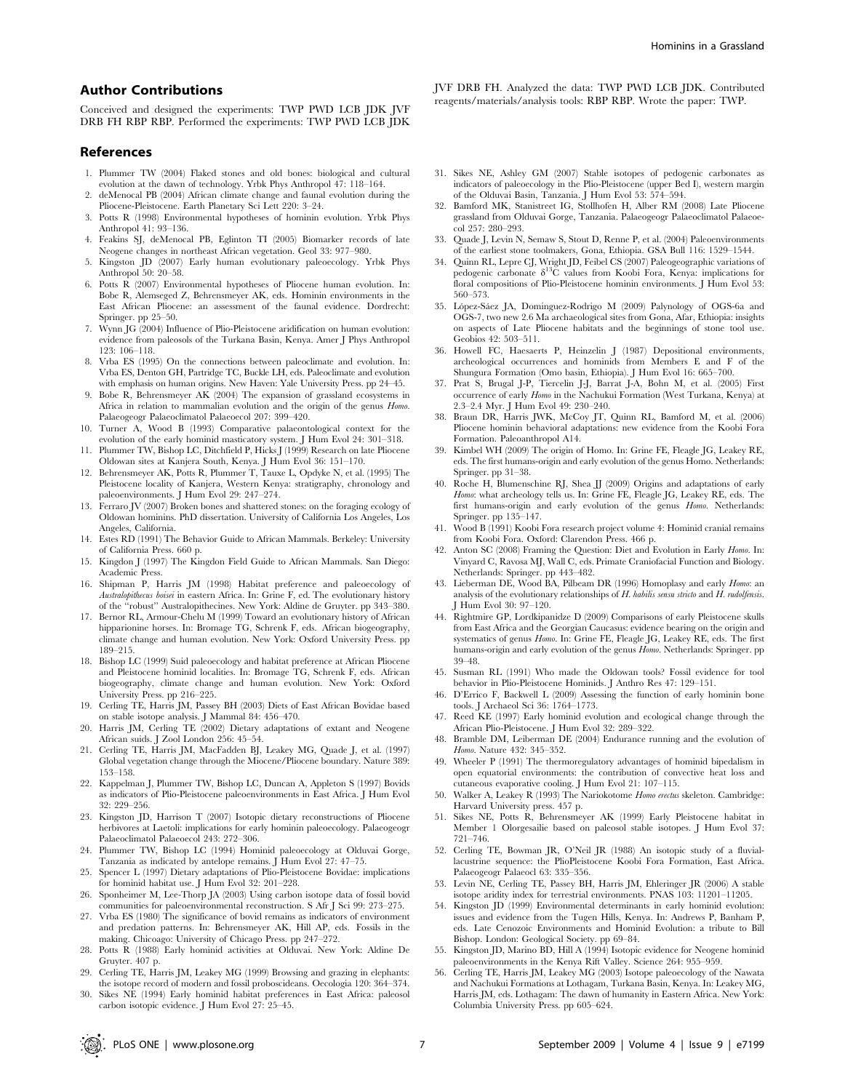#### Author Contributions

Conceived and designed the experiments: TWP PWD LCB JDK JVF DRB FH RBP RBP. Performed the experiments: TWP PWD LCB JDK

#### References

- 1. Plummer TW (2004) Flaked stones and old bones: biological and cultural evolution at the dawn of technology. Yrbk Phys Anthropol 47: 118–164.
- deMenocal PB (2004) African climate change and faunal evolution during the Pliocene-Pleistocene. Earth Planetary Sci Lett 220: 3–24.
- 3. Potts R (1998) Environmental hypotheses of hominin evolution. Yrbk Phys Anthropol 41: 93–136.
- 4. Feakins SJ, deMenocal PB, Eglinton TI (2005) Biomarker records of late Neogene changes in northeast African vegetation. Geol 33: 977–980.
- 5. Kingston JD (2007) Early human evolutionary paleoecology. Yrbk Phys Anthropol 50: 20–58.
- 6. Potts R (2007) Environmental hypotheses of Pliocene human evolution. In: Bobe R, Alemseged Z, Behrensmeyer AK, eds. Hominin environments in the East African Pliocene: an assessment of the faunal evidence. Dordrecht: Springer. pp 25–50.
- 7. Wynn JG (2004) Influence of Plio-Pleistocene aridification on human evolution: evidence from paleosols of the Turkana Basin, Kenya. Amer J Phys Anthropol 123: 106–118.
- 8. Vrba ES (1995) On the connections between paleoclimate and evolution. In: Vrba ES, Denton GH, Partridge TC, Buckle LH, eds. Paleoclimate and evolution with emphasis on human origins. New Haven: Yale University Press. pp 24–45.
- 9. Bobe R, Behrensmeyer AK (2004) The expansion of grassland ecosystems in Africa in relation to mammalian evolution and the origin of the genus Homo. Palaeogeogr Palaeoclimatol Palaeoecol 207: 399–420.
- 10. Turner A, Wood B (1993) Comparative palaeontological context for the evolution of the early hominid masticatory system. J Hum Evol 24: 301–318.
- 11. Plummer TW, Bishop LC, Ditchfield P, Hicks J (1999) Research on late Pliocene Oldowan sites at Kanjera South, Kenya. J Hum Evol 36: 151–170.
- 12. Behrensmeyer AK, Potts R, Plummer T, Tauxe L, Opdyke N, et al. (1995) The Pleistocene locality of Kanjera, Western Kenya: stratigraphy, chronology and paleoenvironments. J Hum Evol 29: 247–274.
- 13. Ferraro JV (2007) Broken bones and shattered stones: on the foraging ecology of Oldowan hominins. PhD dissertation. University of California Los Angeles, Los Angeles, California.
- 14. Estes RD (1991) The Behavior Guide to African Mammals. Berkeley: University of California Press. 660 p.
- 15. Kingdon J (1997) The Kingdon Field Guide to African Mammals. San Diego: Academic Press.
- 16. Shipman P, Harris JM (1998) Habitat preference and paleoecology of Australopithecus boisei in eastern Africa. In: Grine F, ed. The evolutionary history of the ''robust'' Australopithecines. New York: Aldine de Gruyter. pp 343–380.
- 17. Bernor RL, Armour-Chelu M (1999) Toward an evolutionary history of African hipparionine horses. In: Bromage TG, Schrenk F, eds. African biogeography, climate change and human evolution. New York: Oxford University Press. pp 189–215.
- 18. Bishop LC (1999) Suid paleoecology and habitat preference at African Pliocene and Pleistocene hominid localities. In: Bromage TG, Schrenk F, eds. African biogeography, climate change and human evolution. New York: Oxford University Press. pp 216–225.
- 19. Cerling TE, Harris JM, Passey BH (2003) Diets of East African Bovidae based on stable isotope analysis. J Mammal 84: 456–470.
- 20. Harris JM, Cerling TE (2002) Dietary adaptations of extant and Neogene African suids. J Zool London 256: 45–54.
- 21. Cerling TE, Harris JM, MacFadden BJ, Leakey MG, Quade J, et al. (1997) Global vegetation change through the Miocene/Pliocene boundary. Nature 389: 153–158.
- 22. Kappelman J, Plummer TW, Bishop LC, Duncan A, Appleton S (1997) Bovids as indicators of Plio-Pleistocene paleoenvironments in East Africa. J Hum Evol 32: 229–256.
- 23. Kingston JD, Harrison T (2007) Isotopic dietary reconstructions of Pliocene herbivores at Laetoli: implications for early hominin paleoecology. Palaeogeogr Palaeoclimatol Palaeoecol 243: 272–306.
- 24. Plummer TW, Bishop LC (1994) Hominid paleoecology at Olduvai Gorge, Tanzania as indicated by antelope remains. J Hum Evol 27: 47–75.
- 25. Spencer L (1997) Dietary adaptations of Plio-Pleistocene Bovidae: implications for hominid habitat use. J Hum Evol 32: 201–228.
- 26. Sponheimer M, Lee-Thorp JA (2003) Using carbon isotope data of fossil bovid communities for paleoenvironmental reconstruction. S Afr J Sci 99: 273–275.
- 27. Vrba ES (1980) The significance of bovid remains as indicators of environment and predation patterns. In: Behrensmeyer AK, Hill AP, eds. Fossils in the making. Chicoago: University of Chicago Press. pp 247–272.
- 28. Potts R (1988) Early hominid activities at Olduvai. New York: Aldine De Gruyter. 407 p.
- 29. Cerling TE, Harris JM, Leakey MG (1999) Browsing and grazing in elephants: the isotope record of modern and fossil proboscideans. Oecologia 120: 364–374.
- 30. Sikes NE (1994) Early hominid habitat preferences in East Africa: paleosol carbon isotopic evidence. J Hum Evol 27: 25–45.

JVF DRB FH. Analyzed the data: TWP PWD LCB JDK. Contributed reagents/materials/analysis tools: RBP RBP. Wrote the paper: TWP.

- 31. Sikes NE, Ashley GM (2007) Stable isotopes of pedogenic carbonates as indicators of paleoecology in the Plio-Pleistocene (upper Bed I), western margin of the Olduvai Basin, Tanzania. J Hum Evol 53: 574–594.
- 32. Bamford MK, Stanistreet IG, Stollhofen H, Alber RM (2008) Late Pliocene grassland from Olduvai Gorge, Tanzania. Palaeogeogr Palaeoclimatol Palaeoecol 257: 280–293.
- 33. Quade J, Levin N, Semaw S, Stout D, Renne P, et al. (2004) Paleoenvironments of the earliest stone toolmakers, Gona, Ethiopia. GSA Bull 116: 1529–1544.
- 34. Quinn RL, Lepre CJ, Wright JD, Feibel CS (2007) Paleogeographic variations of pedogenic carbonate  $\delta^{13}$ C values from Koobi Fora, Kenya: implications for floral compositions of Plio-Pleistocene hominin environments. J Hum Evol 53: 560–573.
- 35. López-Sáez JA, Domínguez-Rodrigo M (2009) Palynology of OGS-6a and OGS-7, two new 2.6 Ma archaeological sites from Gona, Afar, Ethiopia: insights on aspects of Late Pliocene habitats and the beginnings of stone tool use. Geobios 42: 503–511.
- 36. Howell FC, Haesaerts P, Heinzelin J (1987) Depositional environments, archeological occurrences and hominids from Members E and F of the Shungura Formation (Omo basin, Ethiopia). J Hum Evol 16: 665–700.
- 37. Prat S, Brugal J-P, Tiercelin J-J, Barrat J-A, Bohn M, et al. (2005) First occurrence of early Homo in the Nachukui Formation (West Turkana, Kenya) at 2.3–2.4 Myr. J Hum Evol 49: 230–240.
- 38. Braun DR, Harris JWK, McCoy JT, Quinn RL, Bamford M, et al. (2006) Pliocene hominin behavioral adaptations: new evidence from the Koobi Fora Formation. Paleoanthropol A14.
- 39. Kimbel WH (2009) The origin of Homo. In: Grine FE, Fleagle JG, Leakey RE, eds. The first humans-origin and early evolution of the genus Homo. Netherlands: Springer. pp 31–38.
- 40. Roche H, Blumenschine RJ, Shea JJ (2009) Origins and adaptations of early Homo: what archeology tells us. In: Grine FE, Fleagle JG, Leakey RE, eds. The first humans-origin and early evolution of the genus Homo. Netherlands: Springer. pp 135–147.
- 41. Wood B (1991) Koobi Fora research project volume 4: Hominid cranial remains from Koobi Fora. Oxford: Clarendon Press. 466 p.
- 42. Anton SC (2008) Framing the Question: Diet and Evolution in Early Homo. In: Vinyard C, Ravosa MJ, Wall C, eds. Primate Craniofacial Function and Biology. Netherlands: Springer. pp 443–482.
- 43. Lieberman DE, Wood BA, Pilbeam DR (1996) Homoplasy and early Homo: an analysis of the evolutionary relationships of  $H$ . habilis sensu stricto and  $H$ . rudolfensis. J Hum Evol 30: 97–120.
- 44. Rightmire GP, Lordkipanidze D (2009) Comparisons of early Pleistocene skulls from East Africa and the Georgian Caucasus: evidence bearing on the origin and systematics of genus Homo. In: Grine FE, Fleagle JG, Leakey RE, eds. The first humans-origin and early evolution of the genus Homo. Netherlands: Springer. pp 39–48.
- 45. Susman RL (1991) Who made the Oldowan tools? Fossil evidence for tool behavior in Plio-Pleistocene Hominids. J Anthro Res 47: 129–151.
- 46. D'Errico F, Backwell L (2009) Assessing the function of early hominin bone tools. J Archaeol Sci 36: 1764–1773.
- 47. Reed KE (1997) Early hominid evolution and ecological change through the African Plio-Pleistocene. J Hum Evol 32: 289–322.
- 48. Bramble DM, Leiberman DE (2004) Endurance running and the evolution of Homo. Nature 432: 345–352.
- 49. Wheeler P (1991) The thermoregulatory advantages of hominid bipedalism in open equatorial environments: the contribution of convective heat loss and cutaneous evaporative cooling. J Hum Evol 21: 107–115.
- 50. Walker A, Leakey R (1993) The Nariokotome Homo erectus skeleton. Cambridge: Harvard University press. 457 p.
- 51. Sikes NE, Potts R, Behrensmeyer AK (1999) Early Pleistocene habitat in Member 1 Olorgesailie based on paleosol stable isotopes. J Hum Evol 37: 721–746.
- 52. Cerling TE, Bowman JR, O'Neil JR (1988) An isotopic study of a fluviallacustrine sequence: the PlioPleistocene Koobi Fora Formation, East Africa. Palaeogeogr Palaeocl 63: 335–356.
- 53. Levin NE, Cerling TE, Passey BH, Harris JM, Ehleringer JR (2006) A stable isotope aridity index for terrestrial environments. PNAS 103: 11201–11205.
- 54. Kingston JD (1999) Environmental determinants in early hominid evolution: issues and evidence from the Tugen Hills, Kenya. In: Andrews P, Banham P, eds. Late Cenozoic Environments and Hominid Evolution: a tribute to Bill Bishop. London: Geological Society. pp 69–84.
- 55. Kingston JD, Marino BD, Hill A (1994) Isotopic evidence for Neogene hominid paleoenvironments in the Kenya Rift Valley. Science 264: 955–959.
- 56. Cerling TE, Harris JM, Leakey MG (2003) Isotope paleoecology of the Nawata and Nachukui Formations at Lothagam, Turkana Basin, Kenya. In: Leakey MG, Harris JM, eds. Lothagam: The dawn of humanity in Eastern Africa. New York: Columbia University Press. pp 605–624.